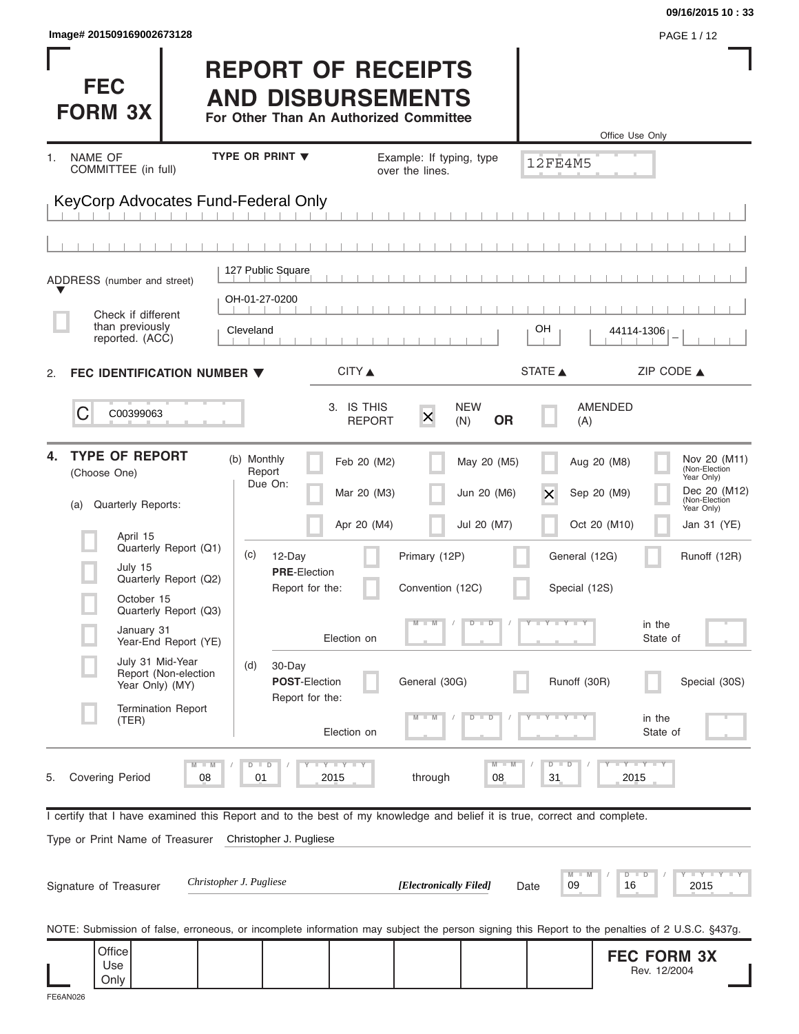|                                                                                                                                                |                                                                                                 |                                                           |                            | 09/16/2015 10:33                            |
|------------------------------------------------------------------------------------------------------------------------------------------------|-------------------------------------------------------------------------------------------------|-----------------------------------------------------------|----------------------------|---------------------------------------------|
| Image# 201509169002673128                                                                                                                      |                                                                                                 |                                                           |                            | PAGE 1/12                                   |
| <b>FEC</b><br><b>FORM 3X</b>                                                                                                                   | <b>REPORT OF RECEIPTS</b><br><b>AND DISBURSEMENTS</b><br>For Other Than An Authorized Committee |                                                           |                            | Office Use Only                             |
| NAME OF<br>1.                                                                                                                                  | <b>TYPE OR PRINT ▼</b>                                                                          | Example: If typing, type                                  | <b>12FE4M5</b>             |                                             |
| COMMITTEE (in full)                                                                                                                            |                                                                                                 | over the lines.                                           |                            |                                             |
| KeyCorp Advocates Fund-Federal Only                                                                                                            |                                                                                                 |                                                           |                            |                                             |
|                                                                                                                                                |                                                                                                 |                                                           |                            |                                             |
|                                                                                                                                                |                                                                                                 |                                                           |                            |                                             |
| ADDRESS (number and street)                                                                                                                    | 127 Public Square                                                                               |                                                           |                            |                                             |
| Check if different                                                                                                                             | OH-01-27-0200                                                                                   |                                                           |                            |                                             |
| than previously<br>reported. (ACC)                                                                                                             | Cleveland                                                                                       |                                                           | OН                         | 44114-1306                                  |
| FEC IDENTIFICATION NUMBER ▼<br>2.                                                                                                              | CITY ▲                                                                                          |                                                           | STATE A                    | ZIP CODE $\triangle$                        |
|                                                                                                                                                |                                                                                                 |                                                           |                            |                                             |
| С<br>C00399063                                                                                                                                 | 3. IS THIS<br><b>REPORT</b>                                                                     | <b>NEW</b><br>$\overline{\mathsf{x}}$<br><b>OR</b><br>(N) | AMENDED<br>(A)             |                                             |
| <b>TYPE OF REPORT</b><br>4.                                                                                                                    |                                                                                                 |                                                           |                            |                                             |
| (Choose One)                                                                                                                                   | (b) Monthly<br>Feb 20 (M2)<br>Report<br>Due On:                                                 | May 20 (M5)                                               | Aug 20 (M8)                | Nov 20 (M11)<br>(Non-Election<br>Year Only) |
| Quarterly Reports:<br>(a)                                                                                                                      | Mar 20 (M3)                                                                                     | Jun 20 (M6)                                               | Sep 20 (M9)<br>Х           | Dec 20 (M12)<br>(Non-Election<br>Year Only) |
| April 15                                                                                                                                       | Apr 20 (M4)                                                                                     | Jul 20 (M7)                                               | Oct 20 (M10)               | Jan 31 (YE)                                 |
| Quarterly Report (Q1)                                                                                                                          | (c)<br>12-Day                                                                                   | Primary (12P)                                             | General (12G)              | Runoff (12R)                                |
| July 15<br>Quarterly Report (Q2)                                                                                                               | <b>PRE-Election</b><br>Report for the:                                                          | Convention (12C)                                          | Special (12S)              |                                             |
| October 15<br>Quarterly Report (Q3)                                                                                                            |                                                                                                 |                                                           |                            |                                             |
| January 31<br>Year-End Report (YE)                                                                                                             | Election on                                                                                     | D<br>$\Box$                                               | Y FY FY F                  | in the<br>State of                          |
| July 31 Mid-Year<br>Report (Non-election                                                                                                       | (d)<br>30-Day                                                                                   |                                                           |                            |                                             |
| Year Only) (MY)                                                                                                                                | POST-Election<br>Report for the:                                                                | General (30G)                                             | Runoff (30R)               | Special (30S)                               |
| <b>Termination Report</b><br>(TER)                                                                                                             |                                                                                                 | D<br>D                                                    |                            | in the                                      |
|                                                                                                                                                | Election on                                                                                     |                                                           |                            | State of                                    |
| $M - M$<br><b>Covering Period</b><br>08<br>5.                                                                                                  | $D$ $D$<br><b>LYLYLY</b><br>2015<br>01                                                          | $M -$<br>through<br>08                                    | $D - I$<br>D<br>31         | $-Y - Y - Y$<br>2015                        |
|                                                                                                                                                |                                                                                                 |                                                           |                            |                                             |
| I certify that I have examined this Report and to the best of my knowledge and belief it is true, correct and complete.                        |                                                                                                 |                                                           |                            |                                             |
| Type or Print Name of Treasurer                                                                                                                | Christopher J. Pugliese                                                                         |                                                           |                            |                                             |
| Signature of Treasurer                                                                                                                         | Christopher J. Pugliese                                                                         | [Electronically Filed]                                    | M<br>D<br>09<br>16<br>Date | $-1 - Y - 1 - Y - 1 - Y$<br>Ð<br>2015       |
| NOTE: Submission of false, erroneous, or incomplete information may subject the person signing this Report to the penalties of 2 U.S.C. §437g. |                                                                                                 |                                                           |                            |                                             |
| Office                                                                                                                                         |                                                                                                 |                                                           |                            | <b>FEC FORM 3X</b>                          |
| Use<br>Only                                                                                                                                    |                                                                                                 |                                                           |                            | Rev. 12/2004                                |
| FE6AN026                                                                                                                                       |                                                                                                 |                                                           |                            |                                             |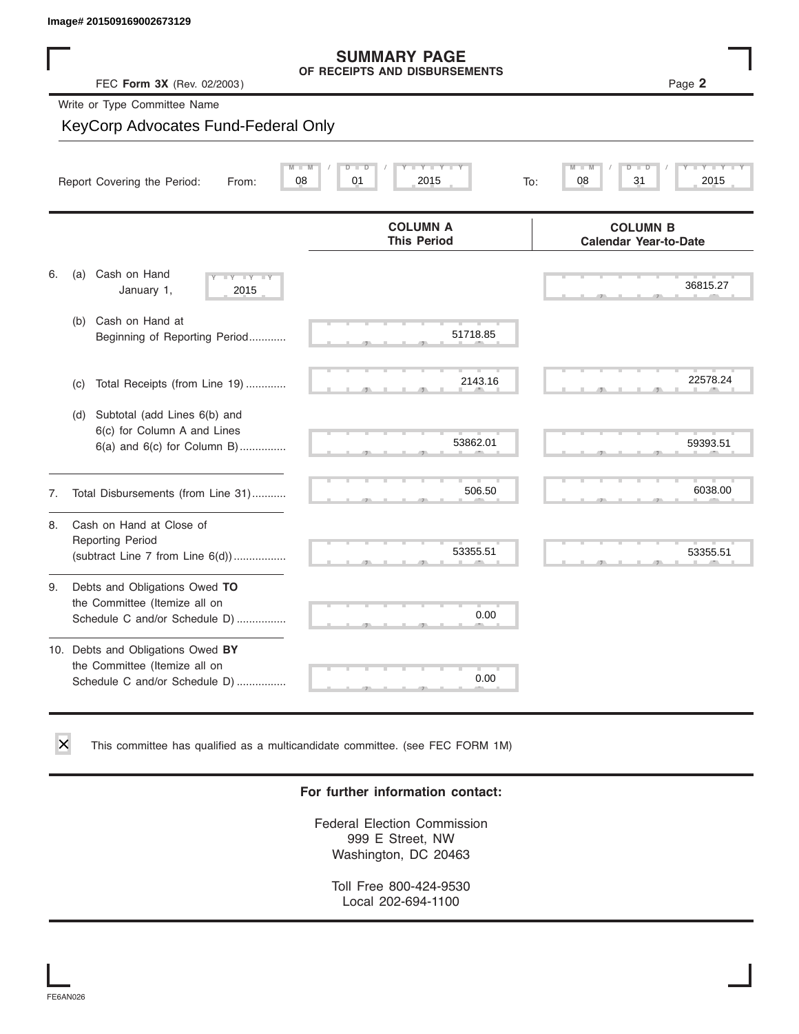# **SUMMARY PAGE**

|    | Image# 201509169002673129                                                                             |                                                      |                                                 |
|----|-------------------------------------------------------------------------------------------------------|------------------------------------------------------|-------------------------------------------------|
|    | FEC Form 3X (Rev. 02/2003)                                                                            | <b>SUMMARY PAGE</b><br>OF RECEIPTS AND DISBURSEMENTS | Page 2                                          |
|    | Write or Type Committee Name                                                                          |                                                      |                                                 |
|    | KeyCorp Advocates Fund-Federal Only                                                                   |                                                      |                                                 |
|    | 08<br>Report Covering the Period:<br>From:                                                            | Y Y<br>01<br>2015                                    | 08<br>31<br>2015<br>To:                         |
|    |                                                                                                       | <b>COLUMN A</b><br><b>This Period</b>                | <b>COLUMN B</b><br><b>Calendar Year-to-Date</b> |
| 6. | Cash on Hand<br>(a)<br>$-1$ Y $-1$ Y<br>January 1,<br>2015                                            |                                                      | 36815.27                                        |
|    | Cash on Hand at<br>(b)<br>Beginning of Reporting Period                                               | 51718.85                                             |                                                 |
|    | Total Receipts (from Line 19)<br>(c)                                                                  | 2143.16                                              | 22578.24                                        |
|    | Subtotal (add Lines 6(b) and<br>(d)<br>6(c) for Column A and Lines<br>$6(a)$ and $6(c)$ for Column B) | 53862.01                                             | 59393.51                                        |
| 7. | Total Disbursements (from Line 31)                                                                    | 506.50                                               | 6038.00                                         |
| 8. | Cash on Hand at Close of<br><b>Reporting Period</b><br>(subtract Line $7$ from Line $6(d)$ )          | 53355.51                                             | 53355.51                                        |
| 9. | Debts and Obligations Owed TO<br>the Committee (Itemize all on<br>Schedule C and/or Schedule D)       | 0.00                                                 |                                                 |
|    | 10. Debts and Obligations Owed BY<br>the Committee (Itemize all on<br>Schedule C and/or Schedule D)   | 0.00                                                 |                                                 |

This committee has qualified as a multicandidate committee. (see FEC FORM 1M)

#### **For further information contact:**

Federal Election Commission 999 E Street, NW Washington, DC 20463

Toll Free 800-424-9530 Local 202-694-1100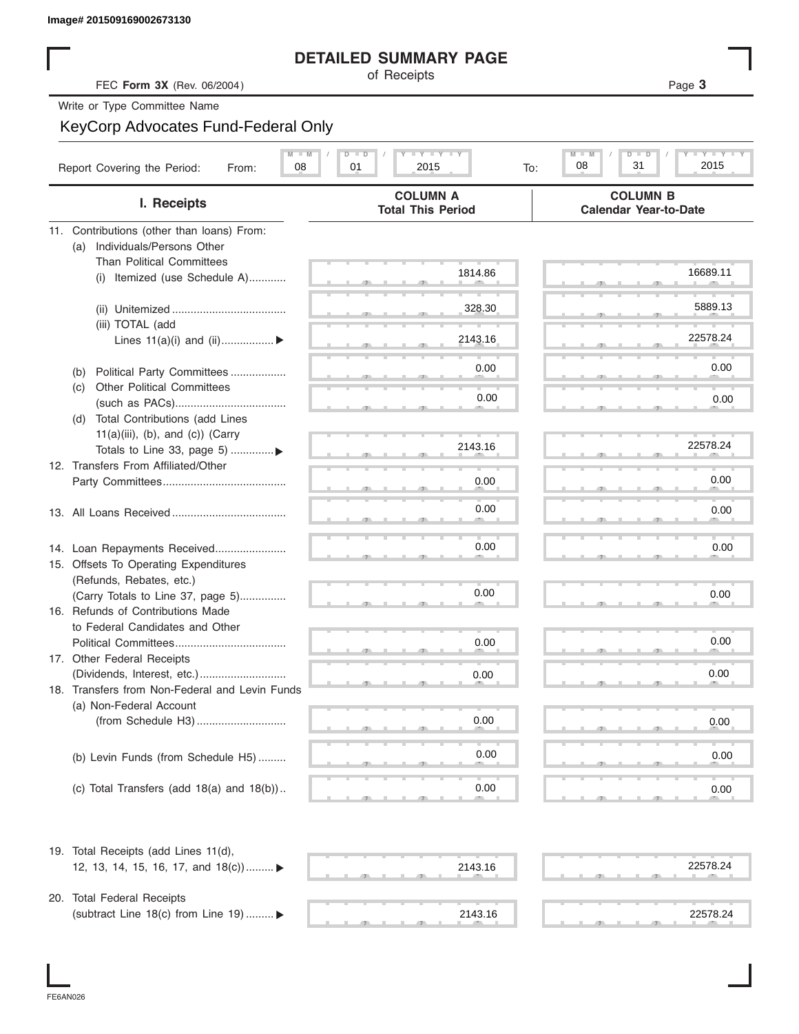#### **DETAILED SUMMARY PAGE**

|                                                    | <b>DETAILED SUMMARY PAGE</b>                                                         |                                                 |
|----------------------------------------------------|--------------------------------------------------------------------------------------|-------------------------------------------------|
| FEC Form 3X (Rev. 06/2004)                         | of Receipts                                                                          | Page 3                                          |
| Write or Type Committee Name                       |                                                                                      |                                                 |
| KeyCorp Advocates Fund-Federal Only                |                                                                                      |                                                 |
|                                                    |                                                                                      |                                                 |
| Report Covering the Period:<br>08<br>From:         | $\Box$ $\Upsilon$ $\Box$ $\Upsilon$ $\Box$ $\Box$<br>$D$ $\Box$<br>01<br>2015<br>To: | Y TY<br>$M -$<br>D –<br>2015<br>08<br>31        |
| I. Receipts                                        | <b>COLUMN A</b><br><b>Total This Period</b>                                          | <b>COLUMN B</b><br><b>Calendar Year-to-Date</b> |
| 11. Contributions (other than loans) From:         |                                                                                      |                                                 |
| Individuals/Persons Other<br>(a)                   |                                                                                      |                                                 |
| <b>Than Political Committees</b>                   | 1814.86                                                                              | 16689.11                                        |
| Itemized (use Schedule A)<br>(i)                   |                                                                                      |                                                 |
|                                                    |                                                                                      |                                                 |
|                                                    | 328.30                                                                               | 5889.13                                         |
| (iii) TOTAL (add                                   |                                                                                      | 22578.24                                        |
| Lines $11(a)(i)$ and $(ii)$                        | 2143.16                                                                              |                                                 |
| Political Party Committees<br>(b)                  | 0.00                                                                                 | 0.00                                            |
| <b>Other Political Committees</b><br>(C)           |                                                                                      |                                                 |
|                                                    | 0.00                                                                                 | 0.00                                            |
| Total Contributions (add Lines<br>(d)              |                                                                                      |                                                 |
| $11(a)(iii)$ , (b), and (c)) (Carry                |                                                                                      |                                                 |
| Totals to Line 33, page 5) ▶                       | 2143.16                                                                              | 22578.24                                        |
| 12. Transfers From Affiliated/Other                |                                                                                      |                                                 |
|                                                    | 0.00                                                                                 | 0.00                                            |
|                                                    |                                                                                      |                                                 |
|                                                    | 0.00                                                                                 | 0.00                                            |
|                                                    |                                                                                      |                                                 |
| 14. Loan Repayments Received                       | 0.00                                                                                 | 0.00                                            |
| 15. Offsets To Operating Expenditures              |                                                                                      |                                                 |
| (Refunds, Rebates, etc.)                           |                                                                                      |                                                 |
| (Carry Totals to Line 37, page 5)                  | 0.00                                                                                 | 0.00                                            |
| 16. Refunds of Contributions Made                  |                                                                                      |                                                 |
| to Federal Candidates and Other                    |                                                                                      | 0.00                                            |
| Political Committees<br>17. Other Federal Receipts | 0.00                                                                                 |                                                 |
|                                                    | 0.00                                                                                 | 0.00                                            |
| 18. Transfers from Non-Federal and Levin Funds     |                                                                                      |                                                 |
| (a) Non-Federal Account                            |                                                                                      |                                                 |
|                                                    | 0.00                                                                                 | 0.00                                            |
|                                                    |                                                                                      |                                                 |
| (b) Levin Funds (from Schedule H5)                 | 0.00                                                                                 | 0.00                                            |
|                                                    |                                                                                      |                                                 |
| (c) Total Transfers (add $18(a)$ and $18(b)$ )     | 0.00                                                                                 | 0.00                                            |
|                                                    |                                                                                      |                                                 |
| 19. Total Receipts (add Lines 11(d),               |                                                                                      |                                                 |
| 12, 13, 14, 15, 16, 17, and 18(c)) ▶               | 2143.16                                                                              | 22578.24                                        |
|                                                    |                                                                                      |                                                 |
| 20. Total Federal Receipts                         |                                                                                      |                                                 |
| (subtract Line 18(c) from Line 19)  ▶              | 2143.16                                                                              | 22578.24                                        |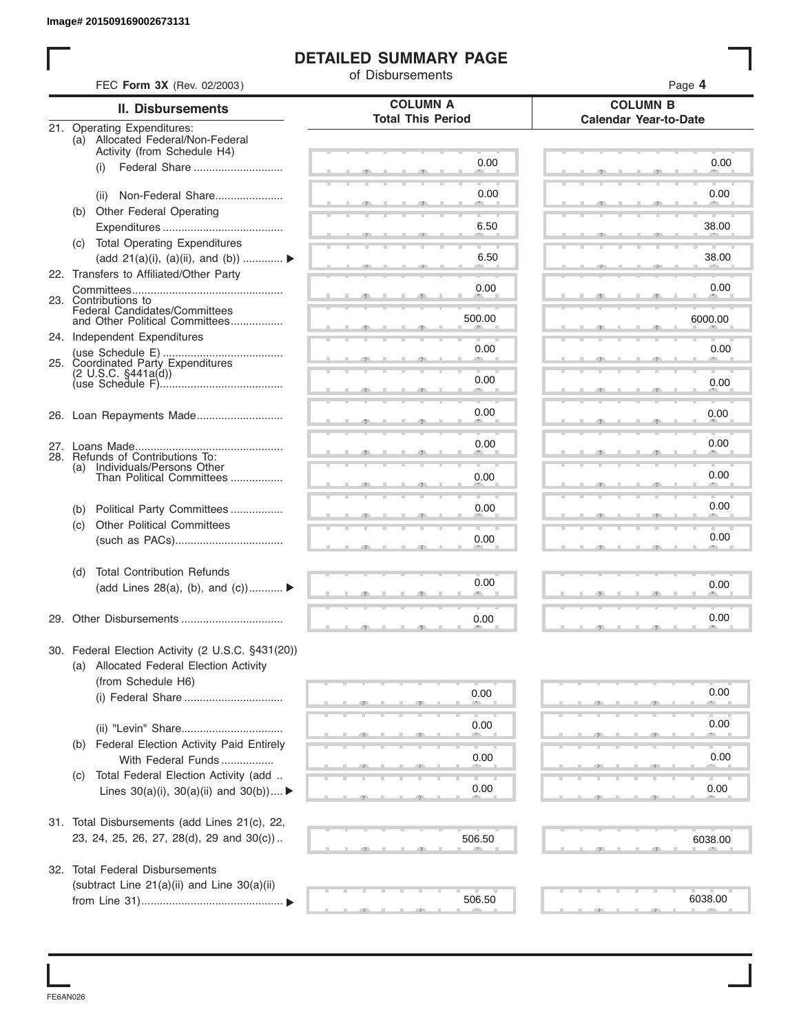#### **DETAILED SUMMARY PAGE**

|                                                                                                 |                                                               | of Disbursements         |                              |
|-------------------------------------------------------------------------------------------------|---------------------------------------------------------------|--------------------------|------------------------------|
| FEC Form 3X (Rev. 02/2003)                                                                      |                                                               | <b>COLUMN A</b>          | Page 4<br><b>COLUMN B</b>    |
|                                                                                                 | <b>II. Disbursements</b>                                      | <b>Total This Period</b> | <b>Calendar Year-to-Date</b> |
| 21. Operating Expenditures:<br>(a) Allocated Federal/Non-Federal<br>Activity (from Schedule H4) |                                                               |                          |                              |
| (i)                                                                                             | Federal Share                                                 | 0.00                     | 0.00                         |
| (ii)                                                                                            | Non-Federal Share                                             | 0.00                     | 0.00                         |
| (b) Other Federal Operating                                                                     |                                                               | 6.50                     | 38.00                        |
| (c) Total Operating Expenditures                                                                |                                                               | 6.50                     | 38.00                        |
| 22. Transfers to Affiliated/Other Party                                                         | (add 21(a)(i), (a)(ii), and (b))                              |                          |                              |
| 23. Contributions to                                                                            |                                                               | 0.00                     | 0.00                         |
| Federal Candidates/Committees                                                                   | and Other Political Committees                                | 500.00                   | 6000.00                      |
| 24. Independent Expenditures                                                                    |                                                               | 0.00                     | 0.00                         |
|                                                                                                 |                                                               | 0.00                     | 0.00                         |
|                                                                                                 |                                                               |                          |                              |
|                                                                                                 |                                                               | 0.00                     | 0.00                         |
| 28. Refunds of Contributions To:                                                                |                                                               | 0.00                     | 0.00                         |
| Individuals/Persons Other<br>(a)                                                                | Than Political Committees                                     | 0.00                     | 0.00                         |
| (b)                                                                                             | Political Party Committees                                    | 0.00                     | 0.00                         |
| <b>Other Political Committees</b><br>(c)                                                        |                                                               |                          | 0.00                         |
|                                                                                                 |                                                               | 0.00                     |                              |
| <b>Total Contribution Refunds</b><br>(d)                                                        | (add Lines 28(a), (b), and $(c)$ )                            | 0.00                     | 0.00                         |
|                                                                                                 |                                                               |                          |                              |
|                                                                                                 |                                                               | 0.00                     | 0.00                         |
|                                                                                                 | 30. Federal Election Activity (2 U.S.C. §431(20))             |                          |                              |
| (a) Allocated Federal Election Activity<br>(from Schedule H6)                                   |                                                               |                          |                              |
|                                                                                                 |                                                               | 0.00                     | 0.00                         |
|                                                                                                 |                                                               | 0.00                     | 0.00                         |
| (b)                                                                                             | Federal Election Activity Paid Entirely<br>With Federal Funds | 0.00                     | 0.00                         |
| (C)                                                                                             | Total Federal Election Activity (add                          |                          |                              |
|                                                                                                 | Lines $30(a)(i)$ , $30(a)(ii)$ and $30(b))$                   | 0.00                     | 0.00                         |
|                                                                                                 | 31. Total Disbursements (add Lines 21(c), 22,                 |                          |                              |
|                                                                                                 | 23, 24, 25, 26, 27, 28(d), 29 and 30(c))                      | 506.50                   | 6038.00                      |
| 32. Total Federal Disbursements                                                                 | (subtract Line 21(a)(ii) and Line 30(a)(ii)                   |                          |                              |
|                                                                                                 |                                                               | 506.50                   | 6038.00                      |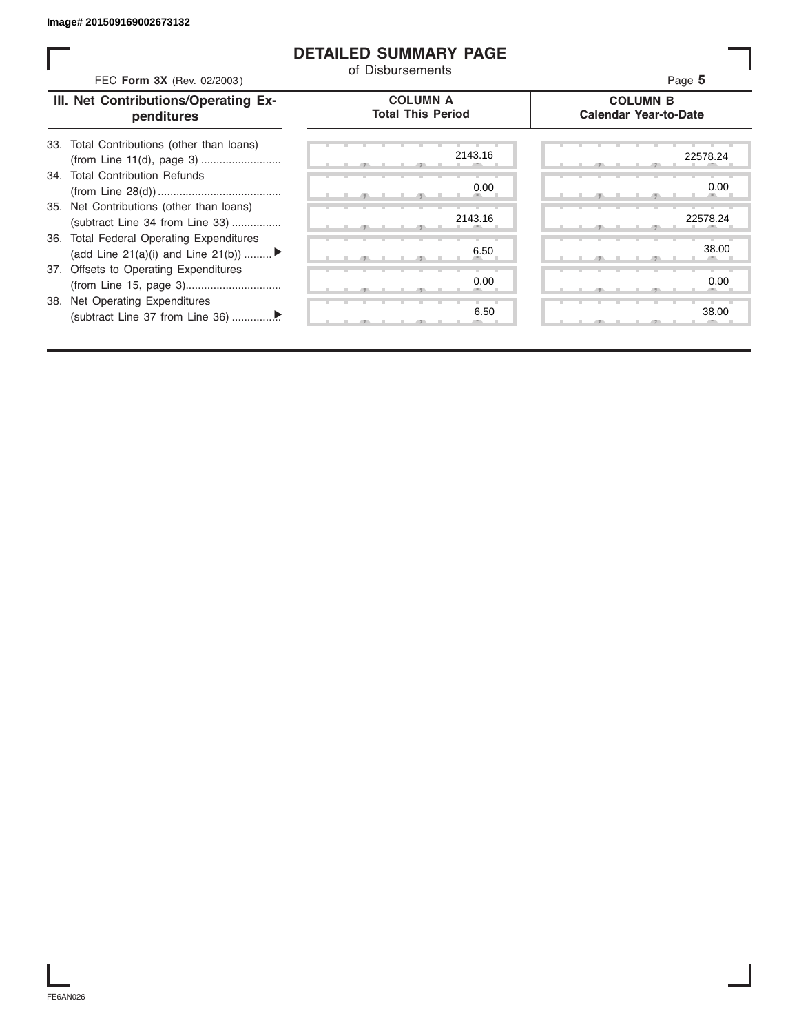#### **DETAILED SUMMARY PAGE**

| FEC Form 3X (Rev. 02/2003)                                                     | <b>DETAILED SUMMARY PAGE</b><br>of Disbursements | Page 5                                          |
|--------------------------------------------------------------------------------|--------------------------------------------------|-------------------------------------------------|
| III. Net Contributions/Operating Ex-<br>penditures                             | <b>COLUMN A</b><br><b>Total This Period</b>      | <b>COLUMN B</b><br><b>Calendar Year-to-Date</b> |
| 33. Total Contributions (other than loans)<br>(from Line 11(d), page 3)        | 2143.16                                          | 22578.24                                        |
| 34. Total Contribution Refunds                                                 | 0.00                                             | 0.00                                            |
| 35. Net Contributions (other than loans)<br>(subtract Line 34 from Line 33)    | 2143.16                                          | 22578.24                                        |
| 36. Total Federal Operating Expenditures<br>(add Line 21(a)(i) and Line 21(b)) | 6.50                                             | 38.00                                           |
| 37. Offsets to Operating Expenditures                                          | 0.00                                             | 0.00                                            |
| 38. Net Operating Expenditures                                                 | 6.50                                             | 38.00                                           |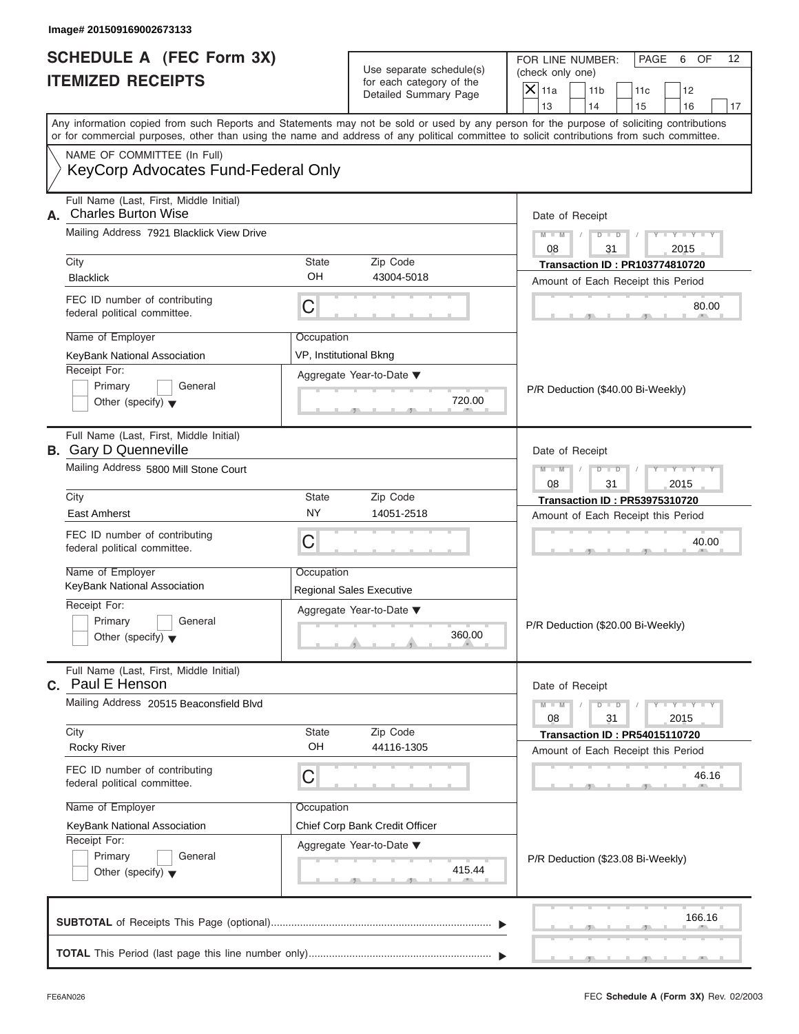|                          | FOR LINE NUMBER:                      | <b>PAGE</b> | 6 | OF. |
|--------------------------|---------------------------------------|-------------|---|-----|
| Use separate schedule(s) | (check only one)                      |             |   |     |
| for each category of the | $ \mathsf{X} $ 11a<br>11 <sub>b</sub> |             |   |     |
| Detailed Summary Page    |                                       |             |   |     |

| SCHEDULE A (FEC Form 3X)<br><b>ITEMIZED RECEIPTS</b>                                                                                                                                                                                                                                                                                                          |                                                                 | Use separate schedule(s)<br>for each category of the<br>Detailed Summary Page                   | FOR LINE NUMBER:<br>PAGE<br>6<br>OF<br>12<br>(check only one)<br>$\overline{X}$ 11a<br>11 <sub>b</sub><br>12<br>11c<br>13<br>14<br>16                                                                                       |
|---------------------------------------------------------------------------------------------------------------------------------------------------------------------------------------------------------------------------------------------------------------------------------------------------------------------------------------------------------------|-----------------------------------------------------------------|-------------------------------------------------------------------------------------------------|-----------------------------------------------------------------------------------------------------------------------------------------------------------------------------------------------------------------------------|
| Any information copied from such Reports and Statements may not be sold or used by any person for the purpose of soliciting contributions<br>or for commercial purposes, other than using the name and address of any political committee to solicit contributions from such committee.<br>NAME OF COMMITTEE (In Full)<br>KeyCorp Advocates Fund-Federal Only |                                                                 |                                                                                                 | 15<br>17                                                                                                                                                                                                                    |
| Full Name (Last, First, Middle Initial)<br>A. Charles Burton Wise<br>Mailing Address 7921 Blacklick View Drive<br>City<br><b>Blacklick</b><br>FEC ID number of contributing<br>federal political committee.<br>Name of Employer<br>KeyBank National Association<br>Receipt For:<br>Primary<br>General<br>Other (specify) $\blacktriangledown$                 | <b>State</b><br>OH<br>C<br>Occupation<br>VP, Institutional Bkng | Zip Code<br>43004-5018<br>Aggregate Year-to-Date ▼<br>720.00                                    | Date of Receipt<br>$Y - Y - Y$<br>$M - M$<br>$D$ $D$<br>08<br>31<br>2015<br><b>Transaction ID: PR103774810720</b><br>Amount of Each Receipt this Period<br>80.00<br>P/R Deduction (\$40.00 Bi-Weekly)                       |
| Full Name (Last, First, Middle Initial)<br><b>B.</b> Gary D Quenneville<br>Mailing Address 5800 Mill Stone Court<br>City<br><b>East Amherst</b><br>FEC ID number of contributing<br>federal political committee.<br>Name of Employer<br>KeyBank National Association<br>Receipt For:<br>Primary<br>General<br>Other (specify) $\blacktriangledown$            | <b>State</b><br>ΝY<br>С<br>Occupation                           | Zip Code<br>14051-2518<br><b>Regional Sales Executive</b><br>Aggregate Year-to-Date ▼<br>360.00 | Date of Receipt<br>Y TYT<br>$M - M$<br>$\Box$<br>D<br>31<br>2015<br>08<br><b>Transaction ID: PR53975310720</b><br>Amount of Each Receipt this Period<br>40.00<br>P/R Deduction (\$20.00 Bi-Weekly)                          |
| Full Name (Last, First, Middle Initial)<br>Paul E Henson<br>C.<br>Mailing Address 20515 Beaconsfield Blvd<br>City<br><b>Rocky River</b><br>FEC ID number of contributing<br>federal political committee.<br>Name of Employer<br>KeyBank National Association<br>Receipt For:<br>Primary<br>General<br>Other (specify) $\blacktriangledown$                    | <b>State</b><br>OН<br>С<br>Occupation                           | Zip Code<br>44116-1305<br>Chief Corp Bank Credit Officer<br>Aggregate Year-to-Date ▼<br>415.44  | Date of Receipt<br>$T - Y = Y - T Y$<br>$M - M$<br>$\overline{D}$<br>$\Box$<br>08<br>31<br>2015<br><b>Transaction ID: PR54015110720</b><br>Amount of Each Receipt this Period<br>46.16<br>P/R Deduction (\$23.08 Bi-Weekly) |
|                                                                                                                                                                                                                                                                                                                                                               |                                                                 |                                                                                                 | 166.16                                                                                                                                                                                                                      |

FEC **Schedule A (Form 3X)** Rev. 02/2003

S S S , , .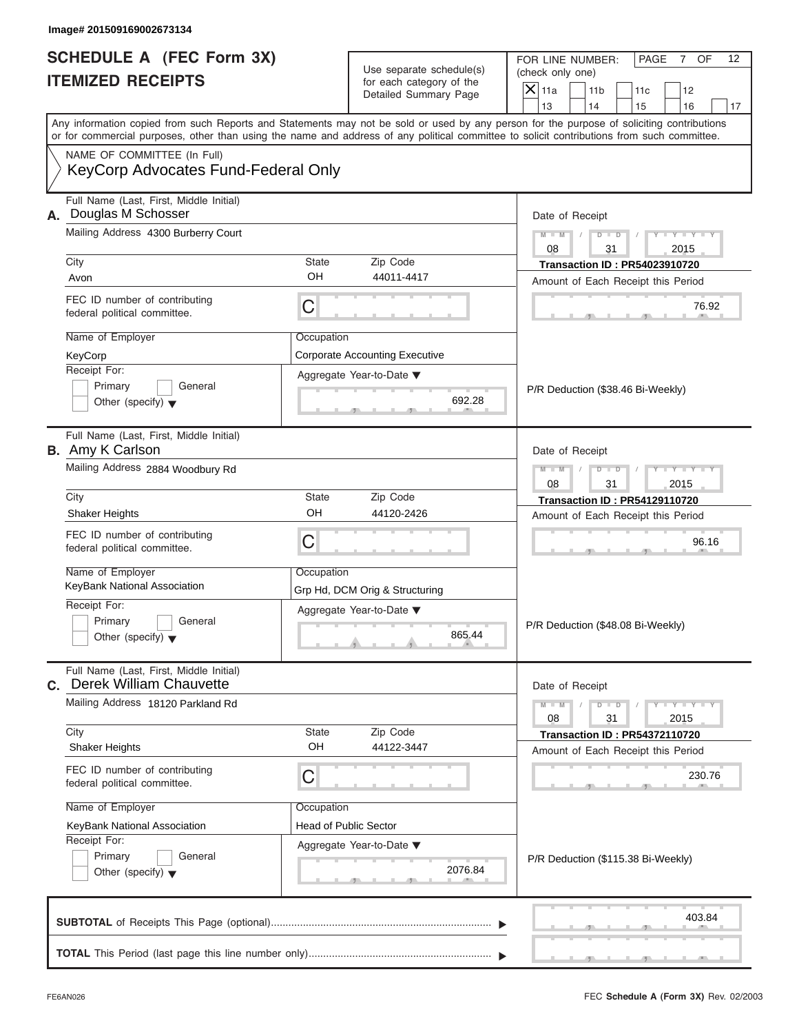|                                                   | FOR LINE NUMBER:                      | I PAGE | NF. |
|---------------------------------------------------|---------------------------------------|--------|-----|
| Use separate schedule(s)                          | (check only one)                      |        |     |
| for each category of the<br>Detailed Summary Page | $ \mathsf{X} $ 11a<br>11 <sub>b</sub> |        |     |
|                                                   |                                       |        |     |

| SCHEDULE A (FEC Form 3X)<br><b>ITEMIZED RECEIPTS</b>                                                                                                                                                                                                                                                                                                                                      |                                                                       | Use separate schedule(s)<br>for each category of the<br>Detailed Summary Page                         | FOR LINE NUMBER:<br>PAGE<br>OF<br>12<br>7<br>(check only one)<br>$\overline{X}$ 11a<br>11 <sub>b</sub><br>12<br>11c<br>13<br>14<br>15<br>16<br>17                                                                             |
|-------------------------------------------------------------------------------------------------------------------------------------------------------------------------------------------------------------------------------------------------------------------------------------------------------------------------------------------------------------------------------------------|-----------------------------------------------------------------------|-------------------------------------------------------------------------------------------------------|-------------------------------------------------------------------------------------------------------------------------------------------------------------------------------------------------------------------------------|
| Any information copied from such Reports and Statements may not be sold or used by any person for the purpose of soliciting contributions<br>or for commercial purposes, other than using the name and address of any political committee to solicit contributions from such committee.<br>NAME OF COMMITTEE (In Full)<br>KeyCorp Advocates Fund-Federal Only                             |                                                                       |                                                                                                       |                                                                                                                                                                                                                               |
| Full Name (Last, First, Middle Initial)<br>Douglas M Schosser<br>А.<br>Mailing Address 4300 Burberry Court<br>City<br>Avon<br>FEC ID number of contributing<br>federal political committee.<br>Name of Employer<br>KeyCorp<br>Receipt For:<br>Primary<br>General<br>Other (specify) $\blacktriangledown$                                                                                  | State<br>OH<br>C<br>Occupation                                        | Zip Code<br>44011-4417<br><b>Corporate Accounting Executive</b><br>Aggregate Year-to-Date ▼<br>692.28 | Date of Receipt<br>$Y = Y =$<br>$M - M$ /<br>$D$ $D$<br>08<br>31<br>2015<br><b>Transaction ID: PR54023910720</b><br>Amount of Each Receipt this Period<br>76.92<br>P/R Deduction (\$38.46 Bi-Weekly)                          |
| Full Name (Last, First, Middle Initial)<br><b>B.</b> Amy K Carlson<br>Mailing Address 2884 Woodbury Rd<br>City<br><b>Shaker Heights</b><br>FEC ID number of contributing<br>federal political committee.<br>Name of Employer<br>KeyBank National Association<br>Receipt For:<br>Primary<br>General                                                                                        | <b>State</b><br>OH<br>C<br>Occupation                                 | Zip Code<br>44120-2426<br>Grp Hd, DCM Orig & Structuring<br>Aggregate Year-to-Date ▼                  | Date of Receipt<br>Y TYT<br>$M - M$<br>$\Box$<br>D<br>31<br>2015<br>08<br><b>Transaction ID: PR54129110720</b><br>Amount of Each Receipt this Period<br>96.16<br>P/R Deduction (\$48.08 Bi-Weekly)                            |
| Other (specify) $\blacktriangledown$<br>Full Name (Last, First, Middle Initial)<br><b>Derek William Chauvette</b><br>C.<br>Mailing Address 18120 Parkland Rd<br>City<br>Shaker Heights<br>FEC ID number of contributing<br>federal political committee.<br>Name of Employer<br>KeyBank National Association<br>Receipt For:<br>Primary<br>General<br>Other (specify) $\blacktriangledown$ | <b>State</b><br>OН<br>С<br>Occupation<br><b>Head of Public Sector</b> | 865.44<br>Zip Code<br>44122-3447<br>Aggregate Year-to-Date ▼<br>2076.84                               | Date of Receipt<br>$T - Y = Y - T Y$<br>$M - M$<br>$\overline{D}$<br>$\Box$<br>08<br>31<br>2015<br><b>Transaction ID: PR54372110720</b><br>Amount of Each Receipt this Period<br>230.76<br>P/R Deduction (\$115.38 Bi-Weekly) |
|                                                                                                                                                                                                                                                                                                                                                                                           |                                                                       |                                                                                                       | 403.84                                                                                                                                                                                                                        |

S S S , , .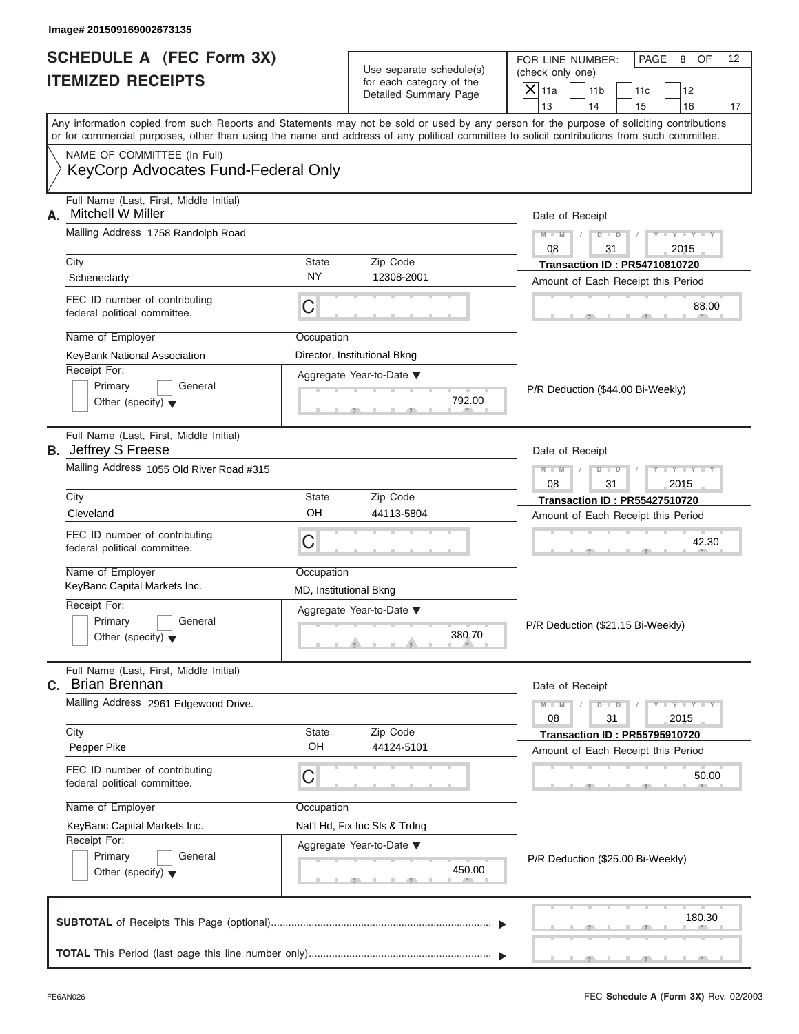|                                                   | FOR LINE NUMBER:          | <b>PAGE</b> | 8 | OF. |
|---------------------------------------------------|---------------------------|-------------|---|-----|
| Use separate schedule(s)                          | (check only one)          |             |   |     |
| for each category of the<br>Detailed Summary Page | $ \mathsf{X} $ 11a<br>11b |             |   |     |
|                                                   |                           |             |   |     |

| SCHEDULE A (FEC Form 3X)<br><b>ITEMIZED RECEIPTS</b>                                                                                                                                                                                                                                                                                                          |                                                                 | Use separate schedule(s)<br>for each category of the<br>Detailed Summary Page                 | FOR LINE NUMBER:<br>PAGE<br>8<br>OF<br>12<br>(check only one)<br>$\overline{X}$ 11a<br>11 <sub>b</sub><br>12<br>11c<br>13<br>14<br>15<br>16<br>17                                                      |
|---------------------------------------------------------------------------------------------------------------------------------------------------------------------------------------------------------------------------------------------------------------------------------------------------------------------------------------------------------------|-----------------------------------------------------------------|-----------------------------------------------------------------------------------------------|--------------------------------------------------------------------------------------------------------------------------------------------------------------------------------------------------------|
| Any information copied from such Reports and Statements may not be sold or used by any person for the purpose of soliciting contributions<br>or for commercial purposes, other than using the name and address of any political committee to solicit contributions from such committee.<br>NAME OF COMMITTEE (In Full)<br>KeyCorp Advocates Fund-Federal Only |                                                                 |                                                                                               |                                                                                                                                                                                                        |
| Full Name (Last, First, Middle Initial)<br><b>Mitchell W Miller</b><br>А.<br>Mailing Address 1758 Randolph Road<br>City<br>Schenectady<br>FEC ID number of contributing<br>federal political committee.<br>Name of Employer<br>KeyBank National Association<br>Receipt For:<br>Primary<br>General<br>Other (specify) $\blacktriangledown$                     | State<br><b>NY</b><br>C<br>Occupation                           | Zip Code<br>12308-2001<br>Director, Institutional Bkng<br>Aggregate Year-to-Date ▼<br>792.00  | Date of Receipt<br>$Y - Y - Y$<br>$M - M$<br>$D$ $D$<br>08<br>31<br>2015<br><b>Transaction ID: PR54710810720</b><br>Amount of Each Receipt this Period<br>88.00<br>P/R Deduction (\$44.00 Bi-Weekly)   |
| Full Name (Last, First, Middle Initial)<br><b>B.</b> Jeffrey S Freese<br>Mailing Address 1055 Old River Road #315<br>City<br>Cleveland<br>FEC ID number of contributing<br>federal political committee.<br>Name of Employer<br>KeyBanc Capital Markets Inc.<br>Receipt For:<br>Primary<br>General<br>Other (specify) $\blacktriangledown$                     | <b>State</b><br>OH<br>C<br>Occupation<br>MD, Institutional Bkng | Zip Code<br>44113-5804<br>Aggregate Year-to-Date ▼<br>380.70                                  | Date of Receipt<br>Y TY<br>$M - M$<br>$\Box$<br>D<br>31<br>2015<br>08<br><b>Transaction ID: PR55427510720</b><br>Amount of Each Receipt this Period<br>42.30<br>P/R Deduction (\$21.15 Bi-Weekly)      |
| Full Name (Last, First, Middle Initial)<br><b>Brian Brennan</b><br>С.<br>Mailing Address 2961 Edgewood Drive.<br>City<br>Pepper Pike<br>FEC ID number of contributing<br>federal political committee.<br>Name of Employer<br>KeyBanc Capital Markets Inc.<br>Receipt For:<br>Primary<br>General<br>Other (specify) $\blacktriangledown$                       | <b>State</b><br>OН<br>С<br>Occupation                           | Zip Code<br>44124-5101<br>Nat'l Hd, Fix Inc SIs & Trdng<br>Aggregate Year-to-Date ▼<br>450.00 | Date of Receipt<br>$M - M$<br>$\overline{D}$<br>$\Box$<br>08<br>31<br>2015<br><b>Transaction ID: PR55795910720</b><br>Amount of Each Receipt this Period<br>50.00<br>P/R Deduction (\$25.00 Bi-Weekly) |
|                                                                                                                                                                                                                                                                                                                                                               |                                                                 |                                                                                               | 180.30                                                                                                                                                                                                 |

S S S , , .

×.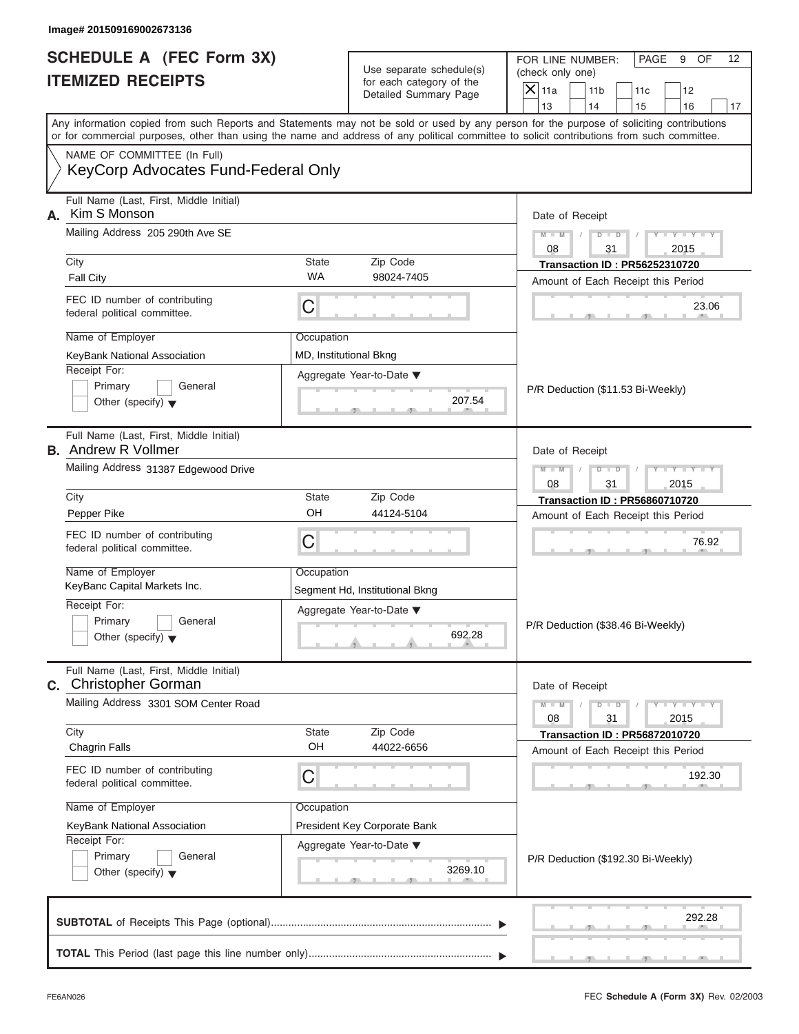|                                                   | FOR LINE NUMBER:                      | l PAGE | 9 | OF. |
|---------------------------------------------------|---------------------------------------|--------|---|-----|
| Use separate schedule(s)                          | (check only one)                      |        |   |     |
| for each category of the<br>Detailed Summary Page | $ \mathsf{X} $ 11a<br>11 <sub>b</sub> |        |   |     |
|                                                   |                                       |        |   |     |

| SCHEDULE A (FEC Form 3X)<br><b>ITEMIZED RECEIPTS</b>                                                                                                                                                                                                                                                                                                          |                                                                 | Use separate schedule(s)<br>for each category of the<br>Detailed Summary Page                        | FOR LINE NUMBER:<br>PAGE<br>9<br>OF<br>12<br>(check only one)<br>$X$ 11a<br>11 <sub>b</sub><br>12<br>11c<br>13<br>14<br>15<br>16<br>17                                                                                           |
|---------------------------------------------------------------------------------------------------------------------------------------------------------------------------------------------------------------------------------------------------------------------------------------------------------------------------------------------------------------|-----------------------------------------------------------------|------------------------------------------------------------------------------------------------------|----------------------------------------------------------------------------------------------------------------------------------------------------------------------------------------------------------------------------------|
| Any information copied from such Reports and Statements may not be sold or used by any person for the purpose of soliciting contributions<br>or for commercial purposes, other than using the name and address of any political committee to solicit contributions from such committee.<br>NAME OF COMMITTEE (In Full)<br>KeyCorp Advocates Fund-Federal Only |                                                                 |                                                                                                      |                                                                                                                                                                                                                                  |
| Full Name (Last, First, Middle Initial)<br>Kim S Monson<br>А.<br>Mailing Address 205 290th Ave SE<br>City<br><b>Fall City</b><br>FEC ID number of contributing<br>federal political committee.<br>Name of Employer<br>KeyBank National Association<br>Receipt For:<br>Primary<br>General<br>Other (specify) $\blacktriangledown$                              | State<br><b>WA</b><br>C<br>Occupation<br>MD, Institutional Bkng | Zip Code<br>98024-7405<br>Aggregate Year-to-Date ▼<br>207.54                                         | Date of Receipt<br>$M - M$<br>$Y = Y$<br>$D$ $D$<br>$\sqrt{2}$<br>08<br>31<br>2015<br><b>Transaction ID: PR56252310720</b><br>Amount of Each Receipt this Period<br>23.06<br>P/R Deduction (\$11.53 Bi-Weekly)                   |
| Full Name (Last, First, Middle Initial)<br><b>B.</b> Andrew R Vollmer<br>Mailing Address 31387 Edgewood Drive<br>City<br>Pepper Pike<br>FEC ID number of contributing<br>federal political committee.<br>Name of Employer<br>KeyBanc Capital Markets Inc.<br>Receipt For:<br>Primary<br>General<br>Other (specify) $\blacktriangledown$                       | State<br>OH<br>C<br>Occupation                                  | Zip Code<br>44124-5104<br>Segment Hd, Institutional Bkng<br>Aggregate Year-to-Date ▼<br>692.28<br>æ. | Date of Receipt<br>$M - M$<br>$\Box$<br>$T - Y$<br>D<br>08<br>31<br>2015<br><b>Transaction ID: PR56860710720</b><br>Amount of Each Receipt this Period<br>76.92<br>P/R Deduction (\$38.46 Bi-Weekly)                             |
| Full Name (Last, First, Middle Initial)<br><b>Christopher Gorman</b><br>С.<br>Mailing Address 3301 SOM Center Road<br>City<br><b>Chagrin Falls</b><br>FEC ID number of contributing<br>federal political committee.<br>Name of Employer<br>KeyBank National Association<br>Receipt For:<br>Primary<br>General<br>Other (specify) $\blacktriangledown$         | State<br>OH<br>C<br>Occupation                                  | Zip Code<br>44022-6656<br>President Key Corporate Bank<br>Aggregate Year-to-Date ▼<br>3269.10        | Date of Receipt<br>$M - M$<br>$Y - Y - Y - Y$<br>ъ<br>$\overline{\phantom{a}}$<br>08<br>31<br>2015<br><b>Transaction ID: PR56872010720</b><br>Amount of Each Receipt this Period<br>192.30<br>P/R Deduction (\$192.30 Bi-Weekly) |
|                                                                                                                                                                                                                                                                                                                                                               |                                                                 |                                                                                                      | 292.28                                                                                                                                                                                                                           |

S S S , , .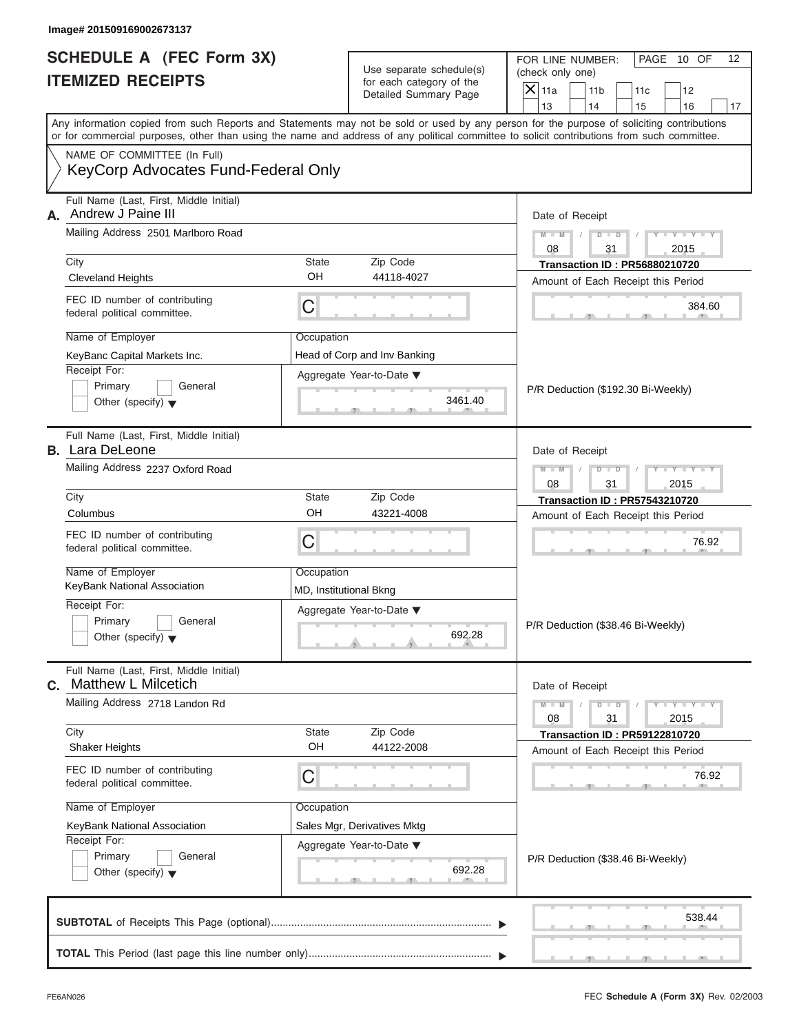| <b>SCHEDULE A (FEC Form 3X)</b><br><b>ITEMIZED RECEIPTS</b>                 | Use separate schedule(s)<br>for each category of the                                                                                       | FOR LINE NUMBER:<br>PAGE 10 OF<br>12<br>(check only one)                                                                                  |  |  |
|-----------------------------------------------------------------------------|--------------------------------------------------------------------------------------------------------------------------------------------|-------------------------------------------------------------------------------------------------------------------------------------------|--|--|
|                                                                             | Detailed Summary Page                                                                                                                      | $\overline{X}$ 11a<br>11 <sub>b</sub><br>11c<br>12<br>13<br>14<br>15<br>16<br>17                                                          |  |  |
|                                                                             | or for commercial purposes, other than using the name and address of any political committee to solicit contributions from such committee. | Any information copied from such Reports and Statements may not be sold or used by any person for the purpose of soliciting contributions |  |  |
| NAME OF COMMITTEE (In Full)<br>KeyCorp Advocates Fund-Federal Only          |                                                                                                                                            |                                                                                                                                           |  |  |
| Full Name (Last, First, Middle Initial)<br>Andrew J Paine III<br>А.         |                                                                                                                                            | Date of Receipt                                                                                                                           |  |  |
| Mailing Address 2501 Marlboro Road                                          |                                                                                                                                            | $Y - Y - Y - Y - Y$<br>$M - M$<br>$D$ $D$<br>$\sqrt{ }$<br>08<br>31<br>2015                                                               |  |  |
| City                                                                        | <b>State</b><br>Zip Code                                                                                                                   | <b>Transaction ID: PR56880210720</b>                                                                                                      |  |  |
| <b>Cleveland Heights</b>                                                    | OH<br>44118-4027                                                                                                                           | Amount of Each Receipt this Period                                                                                                        |  |  |
| FEC ID number of contributing<br>federal political committee.               | C                                                                                                                                          | 384.60                                                                                                                                    |  |  |
| Name of Employer                                                            | Occupation                                                                                                                                 |                                                                                                                                           |  |  |
| KeyBanc Capital Markets Inc.                                                | Head of Corp and Inv Banking                                                                                                               |                                                                                                                                           |  |  |
| Receipt For:                                                                | Aggregate Year-to-Date ▼                                                                                                                   |                                                                                                                                           |  |  |
| Primary<br>General<br>Other (specify) $\blacktriangledown$                  | 3461.40                                                                                                                                    | P/R Deduction (\$192.30 Bi-Weekly)                                                                                                        |  |  |
| Full Name (Last, First, Middle Initial)<br><b>B.</b> Lara DeLeone           |                                                                                                                                            | Date of Receipt                                                                                                                           |  |  |
| Mailing Address 2237 Oxford Road                                            |                                                                                                                                            | Y I Y I Y I Y<br>$M - M$<br>$D$ $D$<br>08<br>31<br>2015                                                                                   |  |  |
| City                                                                        | <b>State</b><br>Zip Code                                                                                                                   | <b>Transaction ID: PR57543210720</b>                                                                                                      |  |  |
| Columbus                                                                    | OH<br>43221-4008                                                                                                                           | Amount of Each Receipt this Period                                                                                                        |  |  |
| FEC ID number of contributing<br>federal political committee.               | C                                                                                                                                          | 76.92                                                                                                                                     |  |  |
| Name of Employer                                                            | Occupation                                                                                                                                 |                                                                                                                                           |  |  |
| KeyBank National Association                                                | MD, Institutional Bkng                                                                                                                     |                                                                                                                                           |  |  |
| Receipt For:<br>Primary<br>General                                          | Aggregate Year-to-Date ▼                                                                                                                   |                                                                                                                                           |  |  |
| Other (specify) $\blacktriangledown$                                        | 692.28                                                                                                                                     | P/R Deduction (\$38.46 Bi-Weekly)                                                                                                         |  |  |
| Full Name (Last, First, Middle Initial)<br><b>Matthew L Milcetich</b><br>С. |                                                                                                                                            | Date of Receipt                                                                                                                           |  |  |
| Mailing Address 2718 Landon Rd                                              | $M - M$<br>$D$ $\Box$ $D$<br>$Y - Y - Y - Y - I$<br>08<br>31<br>2015                                                                       |                                                                                                                                           |  |  |
| City<br>Zip Code<br>State<br>OH<br>44122-2008<br><b>Shaker Heights</b>      |                                                                                                                                            | <b>Transaction ID: PR59122810720</b><br>Amount of Each Receipt this Period                                                                |  |  |
| FEC ID number of contributing<br>federal political committee.               | C                                                                                                                                          | 76.92                                                                                                                                     |  |  |
| Name of Employer                                                            | Occupation                                                                                                                                 |                                                                                                                                           |  |  |
| KeyBank National Association                                                |                                                                                                                                            |                                                                                                                                           |  |  |
| Receipt For:                                                                | Aggregate Year-to-Date ▼                                                                                                                   |                                                                                                                                           |  |  |
| Primary<br>General<br>Other (specify) $\blacktriangledown$                  | 692.28                                                                                                                                     | P/R Deduction (\$38.46 Bi-Weekly)                                                                                                         |  |  |
|                                                                             |                                                                                                                                            | 538.44                                                                                                                                    |  |  |
|                                                                             |                                                                                                                                            |                                                                                                                                           |  |  |

 $S = 1 - 1 - 2$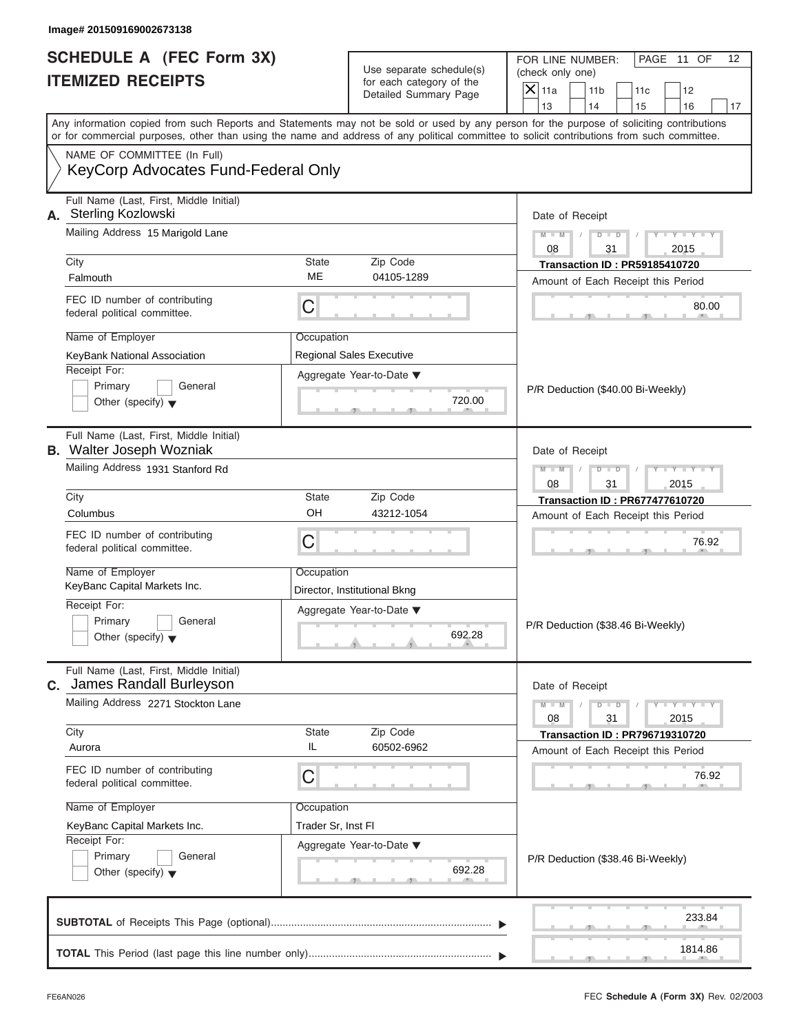|                                                   | l PAGE<br>11 OF<br>FOR LINE NUMBER: |  |  |  |  |
|---------------------------------------------------|-------------------------------------|--|--|--|--|
| Use separate schedule(s)                          | (check only one)                    |  |  |  |  |
| for each category of the<br>Detailed Summary Page | $ \mathsf{X} $ 11a<br>11b           |  |  |  |  |
|                                                   |                                     |  |  |  |  |

| <b>SCHEDULE A (FEC Form 3X)</b><br><b>ITEMIZED RECEIPTS</b>                                                                                                            |             | Use separate schedule(s)<br>for each category of the<br>Detailed Summary Page | FOR LINE NUMBER:<br>PAGE 11 OF<br>12<br>(check only one)<br>$\overline{X}$ 11a<br>11 <sub>b</sub><br>11c<br>12<br>13<br>14<br>15<br>16<br>17                                                                                                                                            |  |  |
|------------------------------------------------------------------------------------------------------------------------------------------------------------------------|-------------|-------------------------------------------------------------------------------|-----------------------------------------------------------------------------------------------------------------------------------------------------------------------------------------------------------------------------------------------------------------------------------------|--|--|
|                                                                                                                                                                        |             |                                                                               | Any information copied from such Reports and Statements may not be sold or used by any person for the purpose of soliciting contributions<br>or for commercial purposes, other than using the name and address of any political committee to solicit contributions from such committee. |  |  |
| NAME OF COMMITTEE (In Full)<br>KeyCorp Advocates Fund-Federal Only                                                                                                     |             |                                                                               |                                                                                                                                                                                                                                                                                         |  |  |
| Full Name (Last, First, Middle Initial)<br>A. Sterling Kozlowski                                                                                                       |             |                                                                               | Date of Receipt                                                                                                                                                                                                                                                                         |  |  |
| Mailing Address 15 Marigold Lane                                                                                                                                       |             |                                                                               | $Y - Y - Y - Y - Y$<br>$M - M$                                                                                                                                                                                                                                                          |  |  |
| City                                                                                                                                                                   | State       | Zip Code                                                                      | 08<br>31<br>2015                                                                                                                                                                                                                                                                        |  |  |
| Falmouth                                                                                                                                                               | <b>ME</b>   | 04105-1289                                                                    | <b>Transaction ID: PR59185410720</b><br>Amount of Each Receipt this Period                                                                                                                                                                                                              |  |  |
| FEC ID number of contributing<br>federal political committee.                                                                                                          | C           |                                                                               | 80.00                                                                                                                                                                                                                                                                                   |  |  |
| Name of Employer                                                                                                                                                       | Occupation  |                                                                               |                                                                                                                                                                                                                                                                                         |  |  |
| KeyBank National Association                                                                                                                                           |             | <b>Regional Sales Executive</b>                                               |                                                                                                                                                                                                                                                                                         |  |  |
| Receipt For:<br>Primary<br>General<br>Other (specify) $\blacktriangledown$                                                                                             |             | Aggregate Year-to-Date ▼<br>720.00                                            | P/R Deduction (\$40.00 Bi-Weekly)                                                                                                                                                                                                                                                       |  |  |
| Full Name (Last, First, Middle Initial)<br><b>B.</b> Walter Joseph Wozniak                                                                                             |             |                                                                               | Date of Receipt                                                                                                                                                                                                                                                                         |  |  |
| Mailing Address 1931 Stanford Rd                                                                                                                                       |             |                                                                               | $Y = Y = Y' - Y'$<br>$M - M$<br>$D$ $D$<br>$\sqrt{ }$<br>08<br>31<br>2015                                                                                                                                                                                                               |  |  |
| City                                                                                                                                                                   | State       | Zip Code                                                                      | <b>Transaction ID: PR677477610720</b>                                                                                                                                                                                                                                                   |  |  |
| Columbus                                                                                                                                                               | OH          | 43212-1054                                                                    | Amount of Each Receipt this Period                                                                                                                                                                                                                                                      |  |  |
| FEC ID number of contributing<br>federal political committee.                                                                                                          | C           |                                                                               | 76.92                                                                                                                                                                                                                                                                                   |  |  |
| Name of Employer<br>KeyBanc Capital Markets Inc.                                                                                                                       | Occupation  |                                                                               |                                                                                                                                                                                                                                                                                         |  |  |
| Receipt For:                                                                                                                                                           |             | Director, Institutional Bkng                                                  | P/R Deduction (\$38.46 Bi-Weekly)                                                                                                                                                                                                                                                       |  |  |
| Primary<br>General<br>Other (specify) $\blacktriangledown$                                                                                                             |             | Aggregate Year-to-Date ▼<br>692.28                                            |                                                                                                                                                                                                                                                                                         |  |  |
| Full Name (Last, First, Middle Initial)<br>C. James Randall Burleyson                                                                                                  |             |                                                                               | Date of Receipt                                                                                                                                                                                                                                                                         |  |  |
| Mailing Address 2271 Stockton Lane                                                                                                                                     |             |                                                                               | $M - M$<br>$Y - Y$<br>$D$ $D$<br>08<br>31<br>2015                                                                                                                                                                                                                                       |  |  |
| City<br>Aurora                                                                                                                                                         | State<br>IL | Zip Code<br>60502-6962                                                        | <b>Transaction ID: PR796719310720</b><br>Amount of Each Receipt this Period                                                                                                                                                                                                             |  |  |
| FEC ID number of contributing<br>federal political committee.                                                                                                          | C           |                                                                               | 76.92                                                                                                                                                                                                                                                                                   |  |  |
| Name of Employer                                                                                                                                                       | Occupation  |                                                                               |                                                                                                                                                                                                                                                                                         |  |  |
| Trader Sr, Inst Fl<br>KeyBanc Capital Markets Inc.<br>Receipt For:<br>Aggregate Year-to-Date ▼<br>Primary<br>General<br>692.28<br>Other (specify) $\blacktriangledown$ |             |                                                                               |                                                                                                                                                                                                                                                                                         |  |  |
|                                                                                                                                                                        |             |                                                                               | P/R Deduction (\$38.46 Bi-Weekly)                                                                                                                                                                                                                                                       |  |  |
|                                                                                                                                                                        |             |                                                                               | 233.84                                                                                                                                                                                                                                                                                  |  |  |
|                                                                                                                                                                        |             |                                                                               |                                                                                                                                                                                                                                                                                         |  |  |